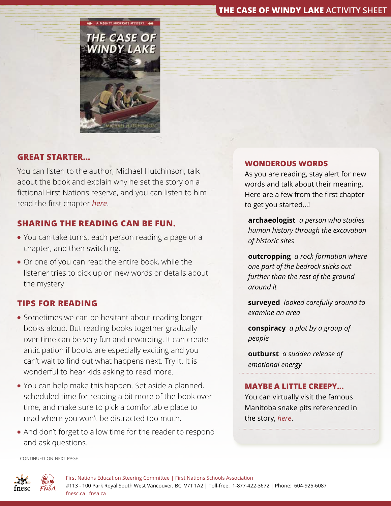## **THE CASE OF WINDY LAKE ACTIVITY SHEET**



### **GREAT STARTER…**

You can listen to the author, Michael Hutchinson, talk about the book and explain why he set the story on a fictional First Nations reserve, and you can listen to him read the first chapter *[here](https://www.youtube.com/watch?v=64rH_2wsyFI&t=150s)*.

## **SHARING THE READING CAN BE FUN.**

- You can take turns, each person reading a page or a chapter, and then switching.
- Or one of you can read the entire book, while the listener tries to pick up on new words or details about the mystery

### **TIPS FOR READING**

- Sometimes we can be hesitant about reading longer books aloud. But reading books together gradually over time can be very fun and rewarding. It can create anticipation if books are especially exciting and you can't wait to find out what happens next. Try it. It is wonderful to hear kids asking to read more.
- You can help make this happen. Set aside a planned, scheduled time for reading a bit more of the book over time, and make sure to pick a comfortable place to read where you won't be distracted too much.
- And don't forget to allow time for the reader to respond and ask questions.

#### **WONDEROUS WORDS**

As you are reading, stay alert for new words and talk about their meaning. Here are a few from the first chapter to get you started…!

**archaeologist** *a person who studies human history through the excavation of historic sites*

**outcropping** *a rock formation where one part of the bedrock sticks out further than the rest of the ground around it*

**surveyed** *looked carefully around to examine an area*

**conspiracy** *a plot by a group of people*

**outburst** *a sudden release of emotional energy*

#### **MAYBE A LITTLE CREEPY…**

You can virtually visit the famous Manitoba snake pits referenced in the story, *[here](https://www.youtube.com/watch?v=2iHEQb5IOKI)*.

continued on next page